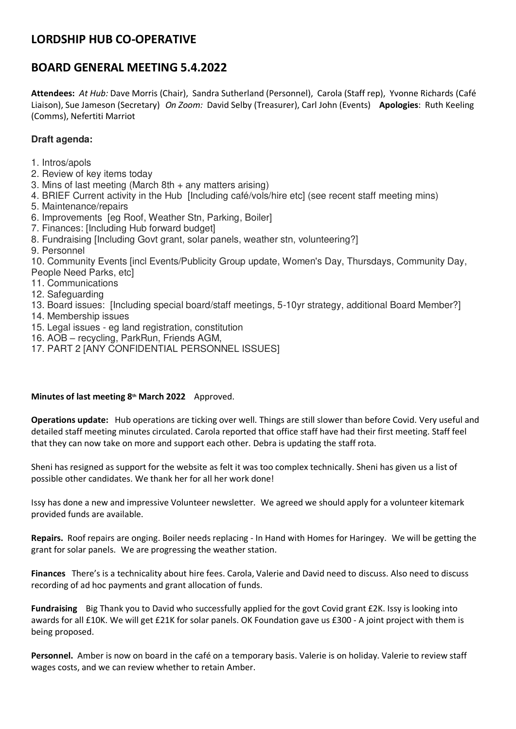# **LORDSHIP HUB CO-OPERATIVE**

## **BOARD GENERAL MEETING 5.4.2022**

**Attendees:** *At Hub:* Dave Morris (Chair), Sandra Sutherland (Personnel), Carola (Staff rep), Yvonne Richards (Café Liaison), Sue Jameson (Secretary) *On Zoom:* David Selby (Treasurer), Carl John (Events) **Apologies**: Ruth Keeling (Comms), Nefertiti Marriot

## **Draft agenda:**

- 1. Intros/apols
- 2. Review of key items today
- 3. Mins of last meeting (March 8th + any matters arising)
- 4. BRIEF Current activity in the Hub [Including café/vols/hire etc] (see recent staff meeting mins)
- 5. Maintenance/repairs
- 6. Improvements [eg Roof, Weather Stn, Parking, Boiler]
- 7. Finances: [Including Hub forward budget]
- 8. Fundraising [Including Govt grant, solar panels, weather stn, volunteering?]
- 9. Personnel
- 10. Community Events [incl Events/Publicity Group update, Women's Day, Thursdays, Community Day, People Need Parks, etc]
- 11. Communications
- 12. Safeguarding
- 13. Board issues: [Including special board/staff meetings, 5-10yr strategy, additional Board Member?]
- 14. Membership issues
- 15. Legal issues eg land registration, constitution
- 16. AOB recycling, ParkRun, Friends AGM,
- 17. PART 2 [ANY CONFIDENTIAL PERSONNEL ISSUES]

### **Minutes of last meeting 8th March 2022** Approved.

**Operations update:** Hub operations are ticking over well. Things are still slower than before Covid. Very useful and detailed staff meeting minutes circulated. Carola reported that office staff have had their first meeting. Staff feel that they can now take on more and support each other. Debra is updating the staff rota.

Sheni has resigned as support for the website as felt it was too complex technically. Sheni has given us a list of possible other candidates. We thank her for all her work done!

Issy has done a new and impressive Volunteer newsletter. We agreed we should apply for a volunteer kitemark provided funds are available.

**Repairs.** Roof repairs are onging. Boiler needs replacing - In Hand with Homes for Haringey. We will be getting the grant for solar panels. We are progressing the weather station.

**Finances** There's is a technicality about hire fees. Carola, Valerie and David need to discuss. Also need to discuss recording of ad hoc payments and grant allocation of funds.

**Fundraising** Big Thank you to David who successfully applied for the govt Covid grant £2K. Issy is looking into awards for all £10K. We will get £21K for solar panels. OK Foundation gave us £300 - A joint project with them is being proposed.

**Personnel.** Amber is now on board in the café on a temporary basis. Valerie is on holiday. Valerie to review staff wages costs, and we can review whether to retain Amber.